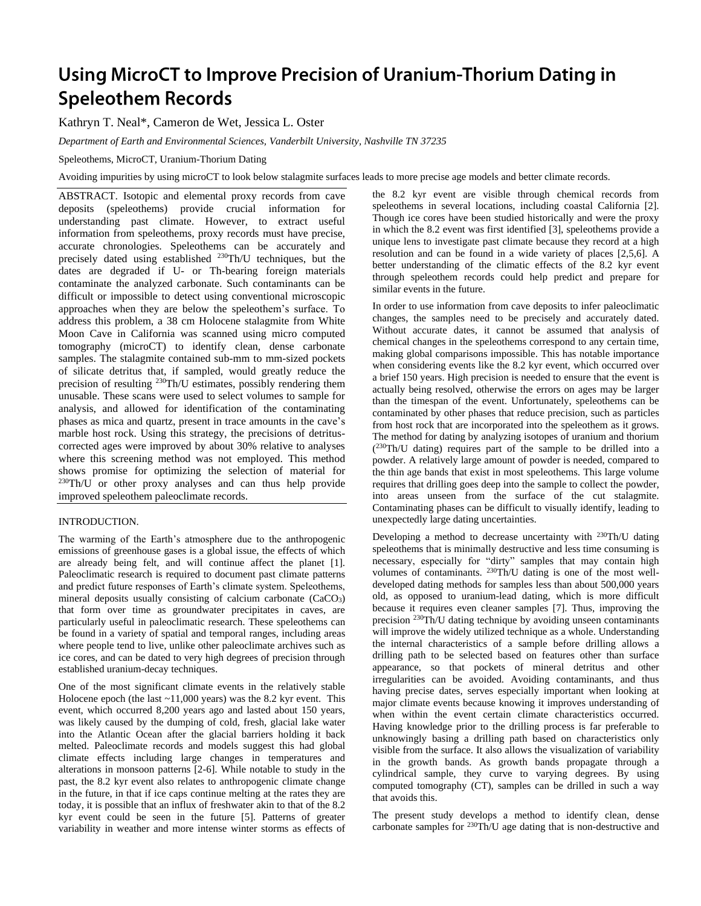# Using MicroCT to Improve Precision of Uranium-Thorium Dating in **Speleothem Records**

Kathryn T. Neal\*, Cameron de Wet, Jessica L. Oster

*Department of Earth and Environmental Sciences, Vanderbilt University, Nashville TN 37235*

Speleothems, MicroCT, Uranium-Thorium Dating

Avoiding impurities by using microCT to look below stalagmite surfaces leads to more precise age models and better climate records.

ABSTRACT. Isotopic and elemental proxy records from cave deposits (speleothems) provide crucial information for understanding past climate. However, to extract useful information from speleothems, proxy records must have precise, accurate chronologies. Speleothems can be accurately and precisely dated using established <sup>230</sup>Th/U techniques, but the dates are degraded if U- or Th-bearing foreign materials contaminate the analyzed carbonate. Such contaminants can be difficult or impossible to detect using conventional microscopic approaches when they are below the speleothem's surface. To address this problem, a 38 cm Holocene stalagmite from White Moon Cave in California was scanned using micro computed tomography (microCT) to identify clean, dense carbonate samples. The stalagmite contained sub-mm to mm-sized pockets of silicate detritus that, if sampled, would greatly reduce the precision of resulting <sup>230</sup>Th/U estimates, possibly rendering them unusable. These scans were used to select volumes to sample for analysis, and allowed for identification of the contaminating phases as mica and quartz, present in trace amounts in the cave's marble host rock. Using this strategy, the precisions of detrituscorrected ages were improved by about 30% relative to analyses where this screening method was not employed. This method shows promise for optimizing the selection of material for  $230$ Th/U or other proxy analyses and can thus help provide improved speleothem paleoclimate records.

## INTRODUCTION.

The warming of the Earth's atmosphere due to the anthropogenic emissions of greenhouse gases is a global issue, the effects of which are already being felt, and will continue affect the planet [1]. Paleoclimatic research is required to document past climate patterns and predict future responses of Earth's climate system. Speleothems, mineral deposits usually consisting of calcium carbonate (CaCO<sub>3</sub>) that form over time as groundwater precipitates in caves, are particularly useful in paleoclimatic research. These speleothems can be found in a variety of spatial and temporal ranges, including areas where people tend to live, unlike other paleoclimate archives such as ice cores, and can be dated to very high degrees of precision through established uranium-decay techniques.

One of the most significant climate events in the relatively stable Holocene epoch (the last  $\sim$ 11,000 years) was the 8.2 kyr event. This event, which occurred 8,200 years ago and lasted about 150 years, was likely caused by the dumping of cold, fresh, glacial lake water into the Atlantic Ocean after the glacial barriers holding it back melted. Paleoclimate records and models suggest this had global climate effects including large changes in temperatures and alterations in monsoon patterns [2-6]. While notable to study in the past, the 8.2 kyr event also relates to anthropogenic climate change in the future, in that if ice caps continue melting at the rates they are today, it is possible that an influx of freshwater akin to that of the 8.2 kyr event could be seen in the future [5]. Patterns of greater variability in weather and more intense winter storms as effects of the 8.2 kyr event are visible through chemical records from speleothems in several locations, including coastal California [2]. Though ice cores have been studied historically and were the proxy in which the 8.2 event was first identified [3], speleothems provide a unique lens to investigate past climate because they record at a high resolution and can be found in a wide variety of places [2,5,6]. A better understanding of the climatic effects of the 8.2 kyr event through speleothem records could help predict and prepare for similar events in the future.

In order to use information from cave deposits to infer paleoclimatic changes, the samples need to be precisely and accurately dated. Without accurate dates, it cannot be assumed that analysis of chemical changes in the speleothems correspond to any certain time, making global comparisons impossible. This has notable importance when considering events like the 8.2 kyr event, which occurred over a brief 150 years. High precision is needed to ensure that the event is actually being resolved, otherwise the errors on ages may be larger than the timespan of the event. Unfortunately, speleothems can be contaminated by other phases that reduce precision, such as particles from host rock that are incorporated into the speleothem as it grows. The method for dating by analyzing isotopes of uranium and thorium ( <sup>230</sup>Th/U dating) requires part of the sample to be drilled into a powder. A relatively large amount of powder is needed, compared to the thin age bands that exist in most speleothems. This large volume requires that drilling goes deep into the sample to collect the powder, into areas unseen from the surface of the cut stalagmite. Contaminating phases can be difficult to visually identify, leading to unexpectedly large dating uncertainties.

Developing a method to decrease uncertainty with <sup>230</sup>Th/U dating speleothems that is minimally destructive and less time consuming is necessary, especially for "dirty" samples that may contain high volumes of contaminants. <sup>230</sup>Th/U dating is one of the most welldeveloped dating methods for samples less than about 500,000 years old, as opposed to uranium-lead dating, which is more difficult because it requires even cleaner samples [7]. Thus, improving the precision <sup>230</sup>Th/U dating technique by avoiding unseen contaminants will improve the widely utilized technique as a whole. Understanding the internal characteristics of a sample before drilling allows a drilling path to be selected based on features other than surface appearance, so that pockets of mineral detritus and other irregularities can be avoided. Avoiding contaminants, and thus having precise dates, serves especially important when looking at major climate events because knowing it improves understanding of when within the event certain climate characteristics occurred. Having knowledge prior to the drilling process is far preferable to unknowingly basing a drilling path based on characteristics only visible from the surface. It also allows the visualization of variability in the growth bands. As growth bands propagate through a cylindrical sample, they curve to varying degrees. By using computed tomography (CT), samples can be drilled in such a way that avoids this.

The present study develops a method to identify clean, dense carbonate samples for <sup>230</sup>Th/U age dating that is non-destructive and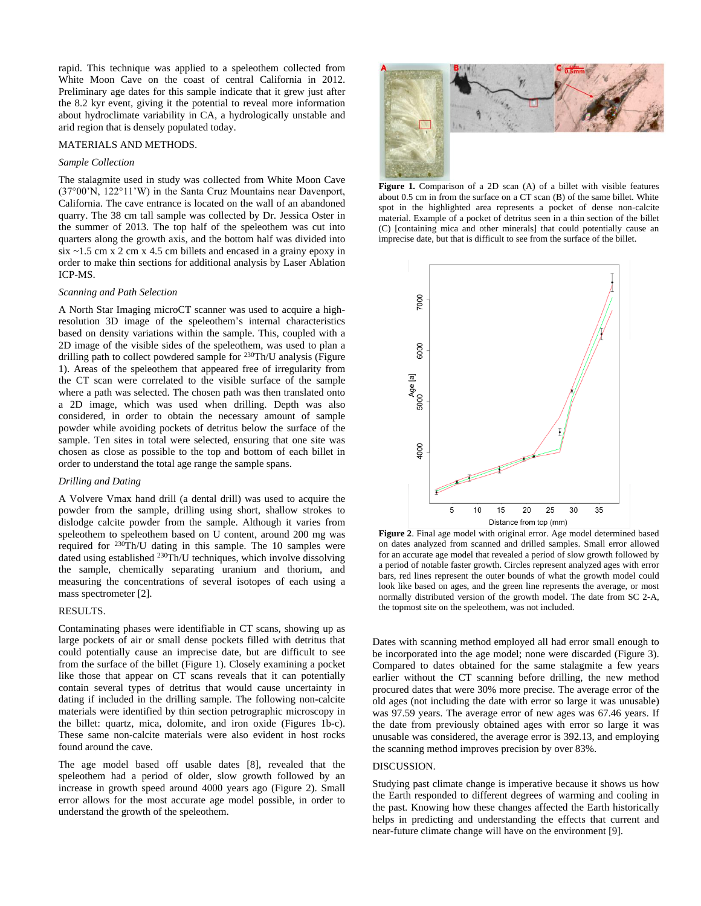rapid. This technique was applied to a speleothem collected from White Moon Cave on the coast of central California in 2012. Preliminary age dates for this sample indicate that it grew just after the 8.2 kyr event, giving it the potential to reveal more information about hydroclimate variability in CA, a hydrologically unstable and arid region that is densely populated today.

## MATERIALS AND METHODS.

### *Sample Collection*

The stalagmite used in study was collected from White Moon Cave (37°00'N, 122°11'W) in the Santa Cruz Mountains near Davenport, California. The cave entrance is located on the wall of an abandoned quarry. The 38 cm tall sample was collected by Dr. Jessica Oster in the summer of 2013. The top half of the speleothem was cut into quarters along the growth axis, and the bottom half was divided into  $six \sim 1.5$  cm x 2 cm x 4.5 cm billets and encased in a grainy epoxy in order to make thin sections for additional analysis by Laser Ablation ICP-MS.

#### *Scanning and Path Selection*

A North Star Imaging microCT scanner was used to acquire a highresolution 3D image of the speleothem's internal characteristics based on density variations within the sample. This, coupled with a 2D image of the visible sides of the speleothem, was used to plan a drilling path to collect powdered sample for <sup>230</sup>Th/U analysis (Figure 1). Areas of the speleothem that appeared free of irregularity from the CT scan were correlated to the visible surface of the sample where a path was selected. The chosen path was then translated onto a 2D image, which was used when drilling. Depth was also considered, in order to obtain the necessary amount of sample powder while avoiding pockets of detritus below the surface of the sample. Ten sites in total were selected, ensuring that one site was chosen as close as possible to the top and bottom of each billet in order to understand the total age range the sample spans.

#### *Drilling and Dating*

A Volvere Vmax hand drill (a dental drill) was used to acquire the powder from the sample, drilling using short, shallow strokes to dislodge calcite powder from the sample. Although it varies from speleothem to speleothem based on U content, around 200 mg was required for <sup>230</sup>Th/U dating in this sample. The 10 samples were dated using established <sup>230</sup>Th/U techniques, which involve dissolving the sample, chemically separating uranium and thorium, and measuring the concentrations of several isotopes of each using a mass spectrometer [2].

# RESULTS.

Contaminating phases were identifiable in CT scans, showing up as large pockets of air or small dense pockets filled with detritus that could potentially cause an imprecise date, but are difficult to see from the surface of the billet (Figure 1). Closely examining a pocket like those that appear on CT scans reveals that it can potentially contain several types of detritus that would cause uncertainty in dating if included in the drilling sample. The following non-calcite materials were identified by thin section petrographic microscopy in the billet: quartz, mica, dolomite, and iron oxide (Figures 1b-c). These same non-calcite materials were also evident in host rocks found around the cave.

The age model based off usable dates [8], revealed that the speleothem had a period of older, slow growth followed by an increase in growth speed around 4000 years ago (Figure 2). Small error allows for the most accurate age model possible, in order to understand the growth of the speleothem.



Figure 1. Comparison of a 2D scan (A) of a billet with visible features about 0.5 cm in from the surface on a CT scan (B) of the same billet. White spot in the highlighted area represents a pocket of dense non-calcite material. Example of a pocket of detritus seen in a thin section of the billet (C) [containing mica and other minerals] that could potentially cause an imprecise date, but that is difficult to see from the surface of the billet.



**Figure 2**. Final age model with original error. Age model determined based on dates analyzed from scanned and drilled samples. Small error allowed for an accurate age model that revealed a period of slow growth followed by a period of notable faster growth. Circles represent analyzed ages with error bars, red lines represent the outer bounds of what the growth model could look like based on ages, and the green line represents the average, or most normally distributed version of the growth model. The date from SC 2-A, the topmost site on the speleothem, was not included.

Dates with scanning method employed all had error small enough to be incorporated into the age model; none were discarded (Figure 3). Compared to dates obtained for the same stalagmite a few years earlier without the CT scanning before drilling, the new method procured dates that were 30% more precise. The average error of the old ages (not including the date with error so large it was unusable) was 97.59 years. The average error of new ages was 67.46 years. If the date from previously obtained ages with error so large it was unusable was considered, the average error is 392.13, and employing the scanning method improves precision by over 83%.

# DISCUSSION.

Studying past climate change is imperative because it shows us how the Earth responded to different degrees of warming and cooling in the past. Knowing how these changes affected the Earth historically helps in predicting and understanding the effects that current and near-future climate change will have on the environment [9].